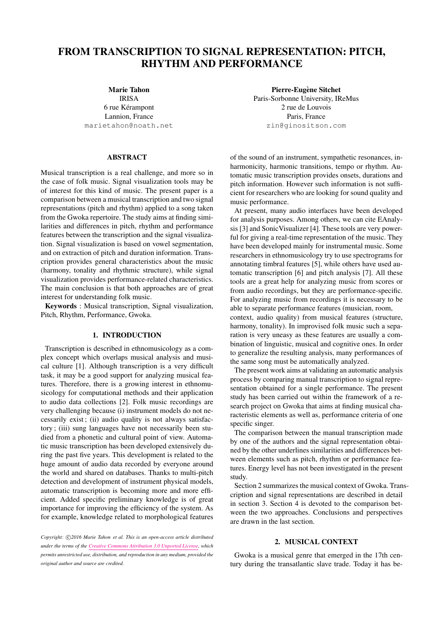# FROM TRANSCRIPTION TO SIGNAL REPRESENTATION: PITCH, RHYTHM AND PERFORMANCE

Marie Tahon

IRISA 6 rue Kérampont Lannion, France [marietahon@noath.net](mailto:marietahon@noath.net)

# ABSTRACT

Musical transcription is a real challenge, and more so in the case of folk music. Signal visualization tools may be of interest for this kind of music. The present paper is a comparison between a musical transcription and two signal representations (pitch and rhythm) applied to a song taken from the Gwoka repertoire. The study aims at finding similarities and differences in pitch, rhythm and performance features between the transcription and the signal visualization. Signal visualization is based on vowel segmentation, and on extraction of pitch and duration information. Transcription provides general characteristics about the music (harmony, tonality and rhythmic structure), while signal visualization provides performance-related characteristics. The main conclusion is that both approaches are of great interest for understanding folk music.

Keywords : Musical transcription, Signal visualization, Pitch, Rhythm, Performance, Gwoka.

#### 1. INTRODUCTION

Transcription is described in ethnomusicology as a complex concept which overlaps musical analysis and musical culture [\[1\]](#page-5-0). Although transcription is a very difficult task, it may be a good support for analyzing musical features. Therefore, there is a growing interest in ethnomusicology for computational methods and their application to audio data collections [\[2\]](#page-5-1). Folk music recordings are very challenging because (i) instrument models do not necessarily exist ; (ii) audio quality is not always satisfactory ; (iii) sung languages have not necessarily been studied from a phonetic and cultural point of view. Automatic music transcription has been developed extensively during the past five years. This development is related to the huge amount of audio data recorded by everyone around the world and shared on databases. Thanks to multi-pitch detection and development of instrument physical models, automatic transcription is becoming more and more efficient. Added specific preliminary knowledge is of great importance for improving the efficiency of the system. As for example, knowledge related to morphological features

Pierre-Eugène Sitchet Paris-Sorbonne University, IReMus 2 rue de Louvois Paris, France [zin@ginositson.com](mailto:zin@ginositson.com)

of the sound of an instrument, sympathetic resonances, inharmonicity, harmonic transitions, tempo or rhythm. Automatic music transcription provides onsets, durations and pitch information. However such information is not sufficient for researchers who are looking for sound quality and music performance.

At present, many audio interfaces have been developed for analysis purposes. Among others, we can cite EAnalysis [\[3\]](#page-5-2) and SonicVisualizer [\[4\]](#page-5-3). These tools are very powerful for giving a real-time representation of the music. They have been developed mainly for instrumental music. Some researchers in ethnomusicology try to use spectrograms for annotating timbral features [\[5\]](#page-5-4), while others have used automatic transcription [\[6\]](#page-5-5) and pitch analysis [\[7\]](#page-5-6). All these tools are a great help for analyzing music from scores or from audio recordings, but they are performance-specific. For analyzing music from recordings it is necessary to be able to separate performance features (musician, room, context, audio quality) from musical features (structure, harmony, tonality). In improvised folk music such a separation is very uneasy as these features are usually a combination of linguistic, musical and cognitive ones. In order to generalize the resulting analysis, many performances of the same song must be automatically analyzed.

The present work aims at validating an automatic analysis process by comparing manual transcription to signal representation obtained for a single performance. The present study has been carried out within the framework of a research project on Gwoka that aims at finding musical characteristic elements as well as, performance criteria of one specific singer.

The comparison between the manual transcription made by one of the authors and the signal representation obtained by the other underlines similarities and differences between elements such as pitch, rhythm or performance features. Energy level has not been investigated in the present study.

Section [2](#page-0-0) summarizes the musical context of Gwoka. Transcription and signal representations are described in detail in section [3.](#page-1-0) Section [4](#page-2-0) is devoted to the comparison between the two approaches. Conclusions and perspectives are drawn in the last section.

# 2. MUSICAL CONTEXT

<span id="page-0-0"></span>Gwoka is a musical genre that emerged in the 17th century during the transatlantic slave trade. Today it has be-

Copyright:  $\bigcirc$ 2016 Marie Tahon et al. This is an open-access article distributed *under the terms of the [Creative Commons Attribution 3.0 Unported License,](http://creativecommons.org/licenses/by/3.0/) which permits unrestricted use, distribution, and reproduction in any medium, provided the original author and source are credited.*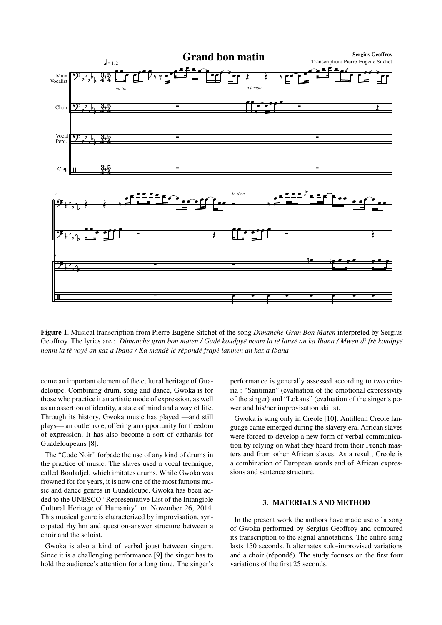

<span id="page-1-1"></span>Figure 1. Musical transcription from Pierre-Eugène Sitchet of the song *Dimanche Gran Bon Maten* interpreted by Sergius Geoffroy. The lyrics are : *Dimanche gran bon maten / Gadé koudpyé nonm la té lansé an ka Ibana / Mwen di frè koudpyé nonm la te voy ´ e an kaz a Ibana / Ka mand ´ e l ´ e r ´ epond ´ e frap ` e lanmen an kaz a Ibana ´*

come an important element of the cultural heritage of Guadeloupe. Combining drum, song and dance, Gwoka is for those who practice it an artistic mode of expression, as well as an assertion of identity, a state of mind and a way of life. Through its history, Gwoka music has played —and still plays— an outlet role, offering an opportunity for freedom of expression. It has also become a sort of catharsis for Guadeloupeans [\[8\]](#page-5-7).

The "Code Noir" forbade the use of any kind of drums in the practice of music. The slaves used a vocal technique, called Bouladjel, which imitates drums. While Gwoka was frowned for for years, it is now one of the most famous music and dance genres in Guadeloupe. Gwoka has been added to the UNESCO "Representative List of the Intangible Cultural Heritage of Humanity" on November 26, 2014. This musical genre is characterized by improvisation, syncopated rhythm and question-answer structure between a choir and the soloist.

Gwoka is also a kind of verbal joust between singers. Since it is a challenging performance [\[9\]](#page-5-8) the singer has to hold the audience's attention for a long time. The singer's performance is generally assessed according to two criteria : "Santiman" (evaluation of the emotional expressivity of the singer) and "Lokans" (evaluation of the singer's power and his/her improvisation skills).

Gwoka is sung only in Creole [\[10\]](#page-5-9). Antillean Creole language came emerged during the slavery era. African slaves were forced to develop a new form of verbal communication by relying on what they heard from their French masters and from other African slaves. As a result, Creole is a combination of European words and of African expressions and sentence structure.

# 3. MATERIALS AND METHOD

<span id="page-1-0"></span>In the present work the authors have made use of a song of Gwoka performed by Sergius Geoffroy and compared its transcription to the signal annotations. The entire song lasts 150 seconds. It alternates solo-improvised variations and a choir (répondé). The study focuses on the first four variations of the first 25 seconds.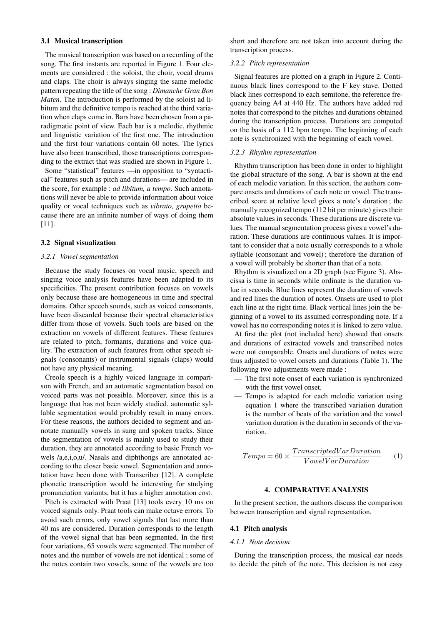#### 3.1 Musical transcription

The musical transcription was based on a recording of the song. The first instants are reported in Figure [1.](#page-1-1) Four elements are considered : the soloist, the choir, vocal drums and claps. The choir is always singing the same melodic pattern repeating the title of the song : *Dimanche Gran Bon Maten*. The introduction is performed by the soloist ad libitum and the definitive tempo is reached at the third variation when claps come in. Bars have been chosen from a paradigmatic point of view. Each bar is a melodic, rhythmic and linguistic variation of the first one. The introduction and the first four variations contain 60 notes. The lyrics have also been transcribed, those transcriptions corresponding to the extract that was studied are shown in Figure [1.](#page-1-1)

Some "statistical" features —in opposition to "syntactical" features such as pitch and durations— are included in the score, for example : *ad libitum, a tempo*. Such annotations will never be able to provide information about voice quality or vocal techniques such as *vibrato, grupetto* because there are an infinite number of ways of doing them [\[11\]](#page-5-10).

## 3.2 Signal visualization

## *3.2.1 Vowel segmentation*

Because the study focuses on vocal music, speech and singing voice analysis features have been adapted to its specificities. The present contribution focuses on vowels only because these are homogeneous in time and spectral domains. Other speech sounds, such as voiced consonants, have been discarded because their spectral characteristics differ from those of vowels. Such tools are based on the extraction on vowels of different features. These features are related to pitch, formants, durations and voice quality. The extraction of such features from other speech signals (consonants) or instrumental signals (claps) would not have any physical meaning.

Creole speech is a highly voiced language in comparison with French, and an automatic segmentation based on voiced parts was not possible. Moreover, since this is a language that has not been widely studied, automatic syllable segmentation would probably result in many errors. For these reasons, the authors decided to segment and annotate manually vowels in sung and spoken tracks. Since the segmentation of vowels is mainly used to study their duration, they are annotated according to basic French vowels /a,e,i,o,u/. Nasals and diphthongs are annotated according to the closer basic vowel. Segmentation and annotation have been done with Transcriber [\[12\]](#page-5-11). A complete phonetic transcription would be interesting for studying pronunciation variants, but it has a higher annotation cost.

Pitch is extracted with Praat [\[13\]](#page-5-12) tools every 10 ms on voiced signals only. Praat tools can make octave errors. To avoid such errors, only vowel signals that last more than 40 ms are considered. Duration corresponds to the length of the vowel signal that has been segmented. In the first four variations, 65 vowels were segmented. The number of notes and the number of vowels are not identical : some of the notes contain two vowels, some of the vowels are too short and therefore are not taken into account during the transcription process.

# *3.2.2 Pitch representation*

Signal features are plotted on a graph in Figure [2.](#page-3-0) Continuous black lines correspond to the F key stave. Dotted black lines correspond to each semitone, the reference frequency being A4 at 440 Hz. The authors have added red notes that correspond to the pitches and durations obtained during the transcription process. Durations are computed on the basis of a 112 bpm tempo. The beginning of each note is synchronized with the beginning of each vowel.

# *3.2.3 Rhythm representation*

Rhythm transcription has been done in order to highlight the global structure of the song. A bar is shown at the end of each melodic variation. In this section, the authors compare onsets and durations of each note or vowel. The transcribed score at relative level gives a note's duration ; the manually recognized tempo (112 bit per minute) gives their absolute values in seconds. These durations are discrete values. The manual segmentation process gives a vowel's duration. These durations are continuous values. It is important to consider that a note usually corresponds to a whole syllable (consonant and vowel) ; therefore the duration of a vowel will probably be shorter than that of a note.

Rhythm is visualized on a 2D graph (see Figure [3\)](#page-4-0). Abscissa is time in seconds while ordinate is the duration value in seconds. Blue lines represent the duration of vowels and red lines the duration of notes. Onsets are used to plot each line at the right time. Black vertical lines join the beginning of a vowel to its assumed corresponding note. If a vowel has no corresponding notes it is linked to zero value.

At first the plot (not included here) showed that onsets and durations of extracted vowels and transcribed notes were not comparable. Onsets and durations of notes were thus adjusted to vowel onsets and durations (Table [1\)](#page-3-1). The following two adjustments were made :

- The first note onset of each variation is synchronized with the first vowel onset.
- Tempo is adapted for each melodic variation using equation 1 where the transcribed variation duration is the number of beats of the variation and the vowel variation duration is the duration in seconds of the variation.

$$
Tempo = 60 \times \frac{TranscriptedVarDuration}{VowelVarDuration}
$$
 (1)

#### 4. COMPARATIVE ANALYSIS

<span id="page-2-0"></span>In the present section, the authors discuss the comparison between transcription and signal representation.

#### 4.1 Pitch analysis

#### *4.1.1 Note decision*

During the transcription process, the musical ear needs to decide the pitch of the note. This decision is not easy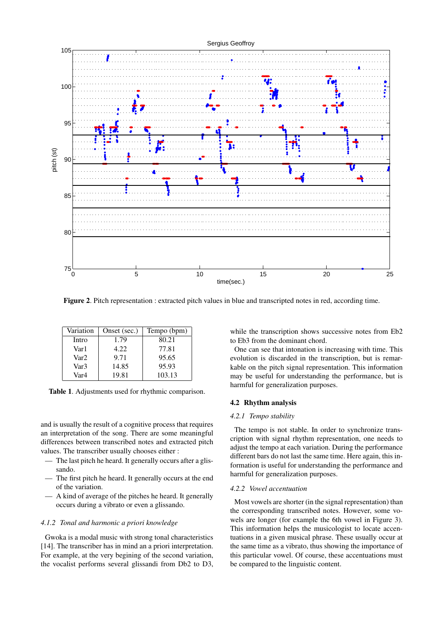

<span id="page-3-0"></span>Figure 2. Pitch representation : extracted pitch values in blue and transcripted notes in red, according time.

<span id="page-3-1"></span>

| Variation        | Onset (sec.) | Tempo (bpm) |
|------------------|--------------|-------------|
| Intro            | 1.79         | 80.21       |
| Var 1            | 4.22         | 77.81       |
| Var2             | 9.71         | 95.65       |
| Var <sub>3</sub> | 14.85        | 95.93       |
| Var4             | 19.81        | 103.13      |

Table 1. Adjustments used for rhythmic comparison.

and is usually the result of a cognitive process that requires an interpretation of the song. There are some meaningful differences between transcribed notes and extracted pitch values. The transcriber usually chooses either :

- The last pitch he heard. It generally occurs after a glissando.
- The first pitch he heard. It generally occurs at the end of the variation.
- A kind of average of the pitches he heard. It generally occurs during a vibrato or even a glissando.

## *4.1.2 Tonal and harmonic a priori knowledge*

Gwoka is a modal music with strong tonal characteristics [\[14\]](#page-5-13). The transcriber has in mind an a priori interpretation. For example, at the very begining of the second variation, the vocalist performs several glissandi from Db2 to D3, while the transcription shows successive notes from Eb2 to Eb3 from the dominant chord.

One can see that intonation is increasing with time. This evolution is discarded in the transcription, but is remarkable on the pitch signal representation. This information may be useful for understanding the performance, but is harmful for generalization purposes.

# 4.2 Rhythm analysis

#### *4.2.1 Tempo stability*

The tempo is not stable. In order to synchronize transcription with signal rhythm representation, one needs to adjust the tempo at each variation. During the performance different bars do not last the same time. Here again, this information is useful for understanding the performance and harmful for generalization purposes.

## *4.2.2 Vowel accentuation*

Most vowels are shorter (in the signal representation) than the corresponding transcribed notes. However, some vowels are longer (for example the 6th vowel in Figure [3\)](#page-4-0). This information helps the musicologist to locate accentuations in a given musical phrase. These usually occur at the same time as a vibrato, thus showing the importance of this particular vowel. Of course, these accentuations must be compared to the linguistic content.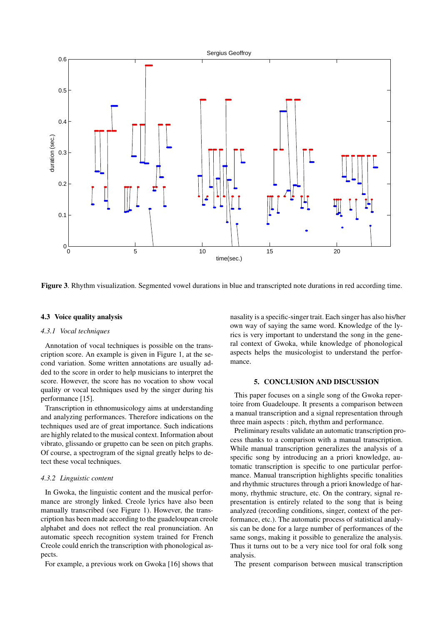

<span id="page-4-0"></span>

## 4.3 Voice quality analysis

## *4.3.1 Vocal techniques*

Annotation of vocal techniques is possible on the transcription score. An example is given in Figure [1,](#page-1-1) at the second variation. Some written annotations are usually added to the score in order to help musicians to interpret the score. However, the score has no vocation to show vocal quality or vocal techniques used by the singer during his performance [\[15\]](#page-5-14).

Transcription in ethnomusicology aims at understanding and analyzing performances. Therefore indications on the techniques used are of great importance. Such indications are highly related to the musical context. Information about vibrato, glissando or grupetto can be seen on pitch graphs. Of course, a spectrogram of the signal greatly helps to detect these vocal techniques.

#### *4.3.2 Linguistic content*

In Gwoka, the linguistic content and the musical performance are strongly linked. Creole lyrics have also been manually transcribed (see Figure [1\)](#page-1-1). However, the transcription has been made according to the guadeloupean creole alphabet and does not reflect the real pronunciation. An automatic speech recognition system trained for French Creole could enrich the transcription with phonological aspects.

For example, a previous work on Gwoka [\[16\]](#page-5-15) shows that

nasality is a specific-singer trait. Each singer has also his/her own way of saying the same word. Knowledge of the lyrics is very important to understand the song in the general context of Gwoka, while knowledge of phonological aspects helps the musicologist to understand the performance.

# 5. CONCLUSION AND DISCUSSION

This paper focuses on a single song of the Gwoka repertoire from Guadeloupe. It presents a comparison between a manual transcription and a signal representation through three main aspects : pitch, rhythm and performance.

Preliminary results validate an automatic transcription process thanks to a comparison with a manual transcription. While manual transcription generalizes the analysis of a specific song by introducing an a priori knowledge, automatic transcription is specific to one particular performance. Manual transcription highlights specific tonalities and rhythmic structures through a priori knowledge of harmony, rhythmic structure, etc. On the contrary, signal representation is entirely related to the song that is being analyzed (recording conditions, singer, context of the performance, etc.). The automatic process of statistical analysis can be done for a large number of performances of the same songs, making it possible to generalize the analysis. Thus it turns out to be a very nice tool for oral folk song analysis.

The present comparison between musical transcription